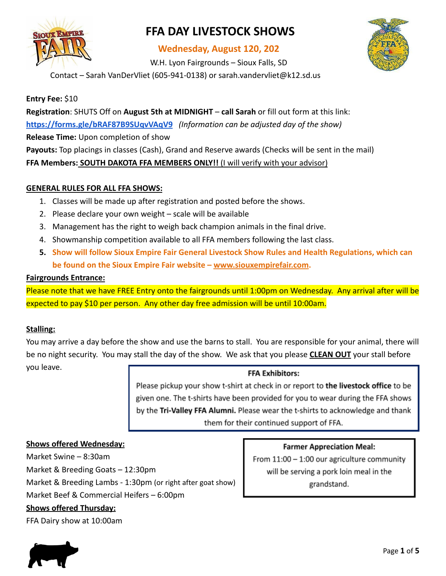

# **FFA DAY LIVESTOCK SHOWS**

## **Wednesday, August 120, 202**

W.H. Lyon Fairgrounds – Sioux Falls, SD



Contact – Sarah VanDerVliet (605-941-0138) or sarah.vandervliet@k12.sd.us

**Entry Fee:** \$10

**Registration**: SHUTS Off on **August 5th at MIDNIGHT** – **call Sarah** or fill out form at this link: **<https://forms.gle/bRAF87B9SUqvVAqV9>** *(Information can be adjusted day of the show)*

**Release Time:** Upon completion of show

**Payouts:** Top placings in classes (Cash), Grand and Reserve awards (Checks will be sent in the mail)

**FFA Members: SOUTH DAKOTA FFA MEMBERS ONLY!!** (I will verify with your advisor)

### **GENERAL RULES FOR ALL FFA SHOWS:**

- 1. Classes will be made up after registration and posted before the shows.
- 2. Please declare your own weight scale will be available
- 3. Management has the right to weigh back champion animals in the final drive.
- 4. Showmanship competition available to all FFA members following the last class.
- **5. Show will follow Sioux Empire Fair General Livestock Show Rules and Health Regulations, which can be found on the Sioux Empire Fair website – [www.siouxempirefair.com](http://www.siouxempirefair.com).**

### **Fairgrounds Entrance:**

Please note that we have FREE Entry onto the fairgrounds until 1:00pm on Wednesday. Any arrival after will be expected to pay \$10 per person. Any other day free admission will be until 10:00am.

### **Stalling:**

You may arrive a day before the show and use the barns to stall. You are responsible for your animal, there will be no night security. You may stall the day of the show. We ask that you please **CLEAN OUT** your stall before

you leave.

### **FFA Exhibitors:**

Please pickup your show t-shirt at check in or report to the livestock office to be given one. The t-shirts have been provided for you to wear during the FFA shows by the Tri-Valley FFA Alumni. Please wear the t-shirts to acknowledge and thank them for their continued support of FFA.

### **Shows offered Wednesday:**

Market Swine – 8:30am Market & Breeding Goats – 12:30pm Market & Breeding Lambs - 1:30pm (or right after goat show) Market Beef & Commercial Heifers – 6:00pm **Shows offered Thursday:**

FFA Dairy show at 10:00am



**Farmer Appreciation Meal:** 

From  $11:00 - 1:00$  our agriculture community will be serving a pork loin meal in the grandstand.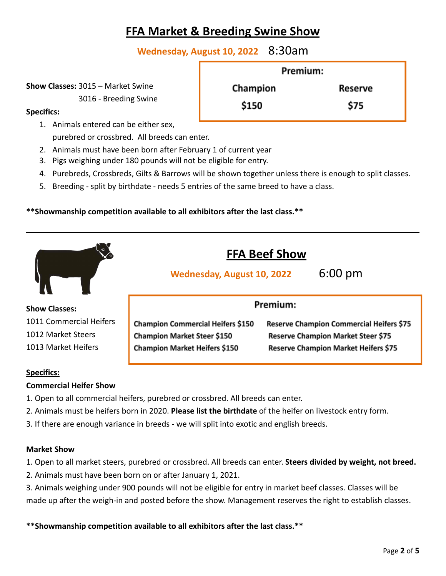# **FFA Market & Breeding Swine Show**

**Wednesday, August 10, 2022** 8:30am

**Show Classes:** 3015 – Market Swine

3016 - Breeding Swine

**Specifics:**

1. Animals entered can be either sex,

purebred or crossbred. All breeds can enter.

- 2. Animals must have been born after February 1 of current year
- 3. Pigs weighing under 180 pounds will not be eligible for entry.
- 4. Purebreds, Crossbreds, Gilts & Barrows will be shown together unless there is enough to split classes.
- 5. Breeding split by birthdate needs 5 entries of the same breed to have a class.

### **\*\*Showmanship competition available to all exhibitors after the last class.\*\***

|                         | <b>Wednesday, August 10, 2022</b>        | <b>FFA Beef Show</b><br>$6:00 \text{ pm}$       |
|-------------------------|------------------------------------------|-------------------------------------------------|
| <b>Show Classes:</b>    | Premium:                                 |                                                 |
| 1011 Commercial Heifers | <b>Champion Commercial Heifers \$150</b> | <b>Reserve Champion Commercial Heifers \$75</b> |
| 1012 Market Steers      | Champion Market Steer \$150              | Reserve Champion Market Steer \$75              |
| 1013 Market Heifers     | Champion Market Heifers \$150            | Reserve Champion Market Heifers \$75            |

#### **Specifics:**

### **Commercial Heifer Show**

- 1. Open to all commercial heifers, purebred or crossbred. All breeds can enter.
- 2. Animals must be heifers born in 2020. **Please list the birthdate** of the heifer on livestock entry form.
- 3. If there are enough variance in breeds we will split into exotic and english breeds.

#### **Market Show**

- 1. Open to all market steers, purebred or crossbred. All breeds can enter. **Steers divided by weight, not breed.**
- 2. Animals must have been born on or after January 1, 2021.
- 3. Animals weighing under 900 pounds will not be eligible for entry in market beef classes. Classes will be made up after the weigh-in and posted before the show. Management reserves the right to establish classes.

**\*\*Showmanship competition available to all exhibitors after the last class.\*\***

| Premium: |  |                |
|----------|--|----------------|
| Champion |  | <b>Reserve</b> |
| \$150    |  | \$75           |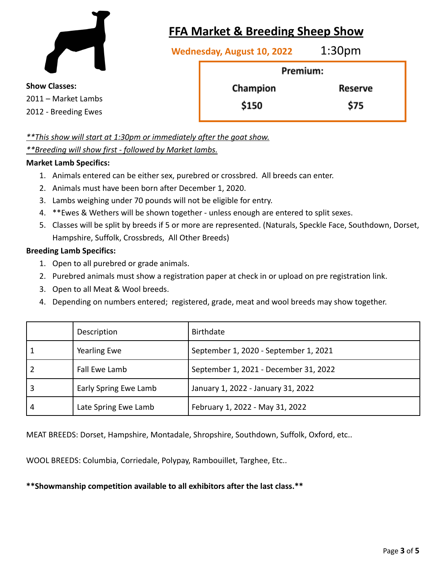

# **FFA Market & Breeding Sheep Show**

**Wednesday, August 10, 2022** 1:30pm

Premium: Champion Reserve \$150 \$75

**Show Classes:** 2011 – Market Lambs 2012 - Breeding Ewes

*\*\*This show will start at 1:30pm or immediately after the goat show.*

### *\*\*Breeding will show first - followed by Market lambs.*

### **Market Lamb Specifics:**

- 1. Animals entered can be either sex, purebred or crossbred. All breeds can enter.
- 2. Animals must have been born after December 1, 2020.
- 3. Lambs weighing under 70 pounds will not be eligible for entry.
- 4. \*\*Ewes & Wethers will be shown together unless enough are entered to split sexes.
- 5. Classes will be split by breeds if 5 or more are represented. (Naturals, Speckle Face, Southdown, Dorset, Hampshire, Suffolk, Crossbreds, All Other Breeds)

### **Breeding Lamb Specifics:**

- 1. Open to all purebred or grade animals.
- 2. Purebred animals must show a registration paper at check in or upload on pre registration link.
- 3. Open to all Meat & Wool breeds.
- 4. Depending on numbers entered; registered, grade, meat and wool breeds may show together.

|   | Description           | <b>Birthdate</b>                      |
|---|-----------------------|---------------------------------------|
|   | <b>Yearling Ewe</b>   | September 1, 2020 - September 1, 2021 |
|   | Fall Ewe Lamb         | September 1, 2021 - December 31, 2022 |
|   | Early Spring Ewe Lamb | January 1, 2022 - January 31, 2022    |
| 4 | Late Spring Ewe Lamb  | February 1, 2022 - May 31, 2022       |

MEAT BREEDS: Dorset, Hampshire, Montadale, Shropshire, Southdown, Suffolk, Oxford, etc..

WOOL BREEDS: Columbia, Corriedale, Polypay, Rambouillet, Targhee, Etc..

### **\*\*Showmanship competition available to all exhibitors after the last class.\*\***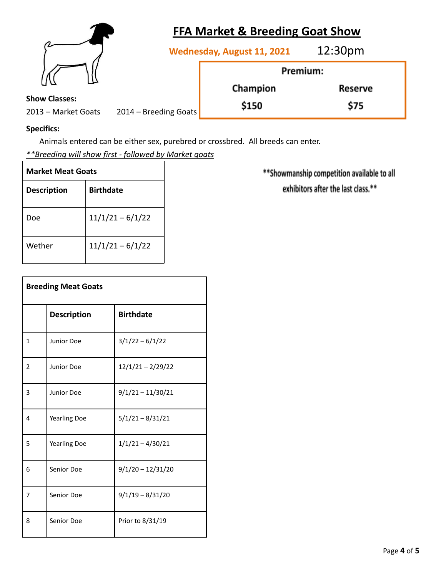|                                              | <b>FFA Market &amp; Breeding Goat Show</b>        |          |  |
|----------------------------------------------|---------------------------------------------------|----------|--|
|                                              | 12:30 <sub>pm</sub><br>Wednesday, August 11, 2021 |          |  |
|                                              |                                                   | Premium: |  |
|                                              | Champion                                          | Reserve  |  |
| <b>Show Classes:</b>                         | \$150                                             | \$75     |  |
| 2013 - Market Goats<br>2014 – Breeding Goats |                                                   |          |  |

# **Specifics:**

Animals entered can be either sex, purebred or crossbred. All breeds can enter.

*\*\*Breeding will show first - followed by Market goats*

| <b>Market Meat Goats</b> |                    |  |
|--------------------------|--------------------|--|
| <b>Description</b>       | <b>Birthdate</b>   |  |
| Doe                      | $11/1/21 - 6/1/22$ |  |
| Wether                   | $11/1/21 - 6/1/22$ |  |

| <b>Breeding Meat Goats</b> |                     |                     |
|----------------------------|---------------------|---------------------|
|                            | <b>Description</b>  | <b>Birthdate</b>    |
| 1                          | Junior Doe          | $3/1/22 - 6/1/22$   |
| 2                          | Junior Doe          | $12/1/21 - 2/29/22$ |
| 3                          | Junior Doe          | $9/1/21 - 11/30/21$ |
| 4                          | <b>Yearling Doe</b> | $5/1/21 - 8/31/21$  |
| 5                          | <b>Yearling Doe</b> | $1/1/21 - 4/30/21$  |
| 6                          | Senior Doe          | $9/1/20 - 12/31/20$ |
| 7                          | Senior Doe          | $9/1/19 - 8/31/20$  |
| 8                          | Senior Doe          | Prior to 8/31/19    |

\*\* Showmanship competition available to all exhibitors after the last class.\*\*